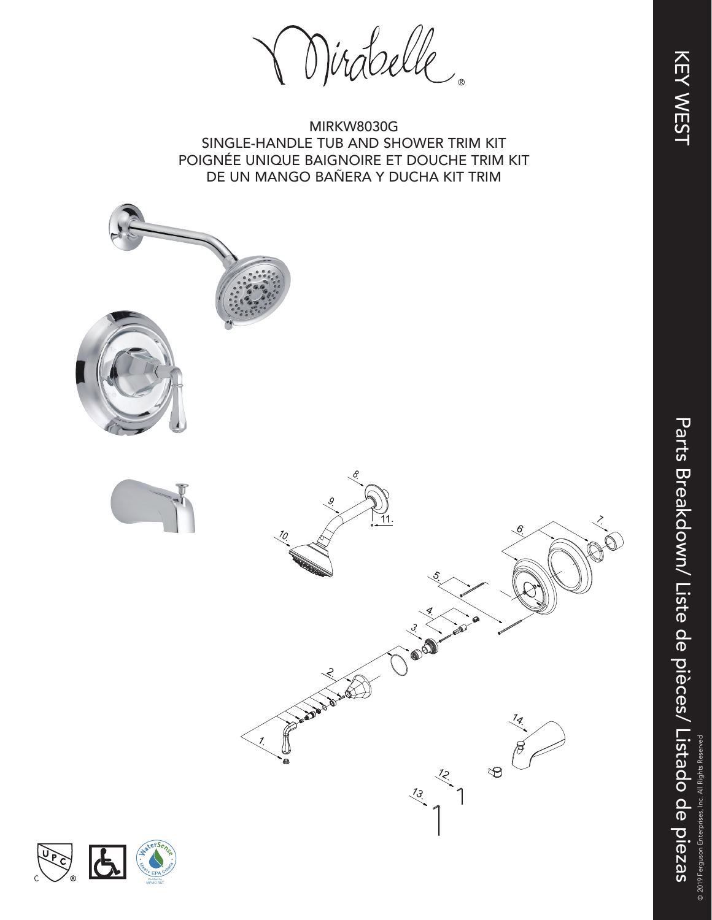Parts Breakdown/ Liste de pièces/ Listado de piezas Parts Breakdown/ Liste de pièces/ Listado de piezas © 2019 F

© 2019 Ferguson Enterprises, Inc. All Rights Reserved



MIRKW8030G SINGLE-HANDLE TUB AND SHOWER TRIM KIT POIGNÉE UNIQUE BAIGNOIRE ET DOUCHE TRIM KIT DE UN MANGO BAÑERA Y DUCHA KIT TRIM